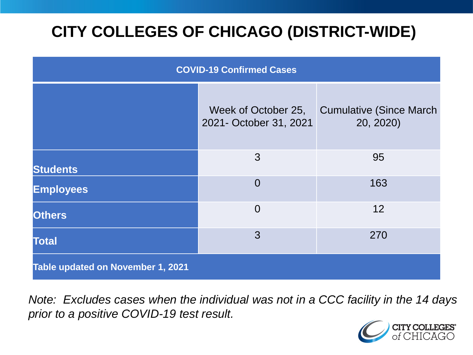# **CITY COLLEGES OF CHICAGO (DISTRICT-WIDE)**

| <b>COVID-19 Confirmed Cases</b>   |                                               |                                              |
|-----------------------------------|-----------------------------------------------|----------------------------------------------|
|                                   | Week of October 25,<br>2021- October 31, 2021 | <b>Cumulative (Since March)</b><br>20, 2020) |
| <b>Students</b>                   | 3                                             | 95                                           |
| <b>Employees</b>                  | $\Omega$                                      | 163                                          |
| <b>Others</b>                     | $\overline{0}$                                | 12                                           |
| <b>Total</b>                      | 3                                             | 270                                          |
| Table updated on November 1, 2021 |                                               |                                              |

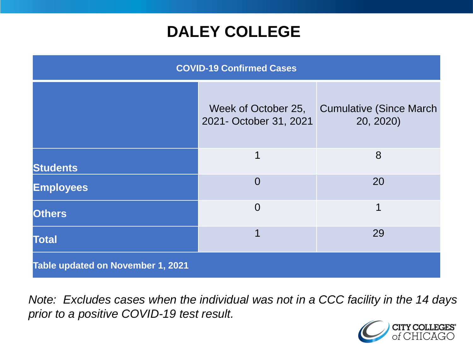### **DALEY COLLEGE**

| <b>COVID-19 Confirmed Cases</b>   |                                               |                                              |
|-----------------------------------|-----------------------------------------------|----------------------------------------------|
|                                   | Week of October 25,<br>2021- October 31, 2021 | <b>Cumulative (Since March)</b><br>20, 2020) |
| <b>Students</b>                   | $\mathbf 1$                                   | 8                                            |
| <b>Employees</b>                  | $\Omega$                                      | 20                                           |
| <b>Others</b>                     | $\overline{0}$                                | 1                                            |
| <b>Total</b>                      | 1                                             | 29                                           |
| Table updated on November 1, 2021 |                                               |                                              |

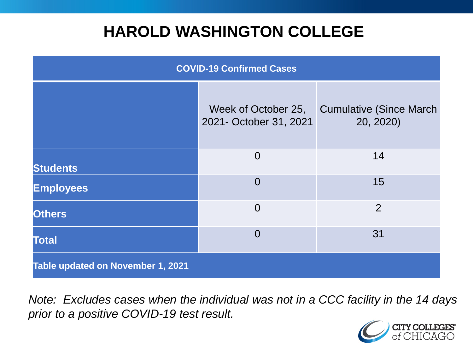### **HAROLD WASHINGTON COLLEGE**

| <b>COVID-19 Confirmed Cases</b>   |                                               |                                              |
|-----------------------------------|-----------------------------------------------|----------------------------------------------|
|                                   | Week of October 25,<br>2021- October 31, 2021 | <b>Cumulative (Since March)</b><br>20, 2020) |
| <b>Students</b>                   | $\overline{0}$                                | 14                                           |
| <b>Employees</b>                  | $\Omega$                                      | 15                                           |
| <b>Others</b>                     | $\overline{0}$                                | $\overline{2}$                               |
| <b>Total</b>                      | $\Omega$                                      | 31                                           |
| Table updated on November 1, 2021 |                                               |                                              |

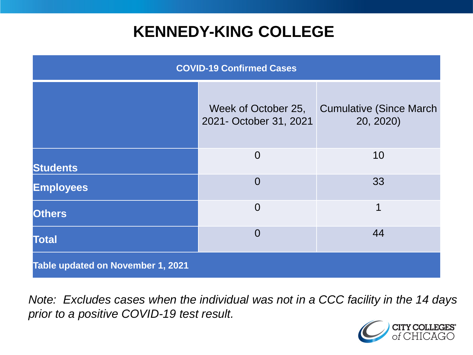### **KENNEDY-KING COLLEGE**

| <b>COVID-19 Confirmed Cases</b>   |                                               |                                              |
|-----------------------------------|-----------------------------------------------|----------------------------------------------|
|                                   | Week of October 25,<br>2021- October 31, 2021 | <b>Cumulative (Since March)</b><br>20, 2020) |
| <b>Students</b>                   | $\overline{0}$                                | 10                                           |
| <b>Employees</b>                  | $\overline{0}$                                | 33                                           |
| <b>Others</b>                     | $\overline{0}$                                | 1                                            |
| <b>Total</b>                      | $\overline{0}$                                | 44                                           |
| Table updated on November 1, 2021 |                                               |                                              |

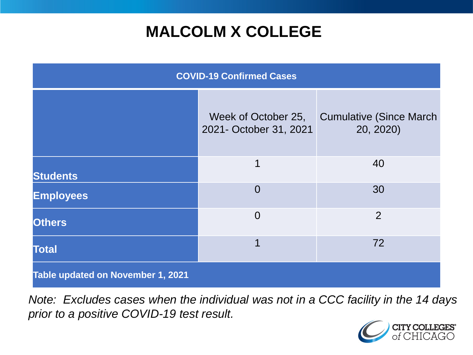# **MALCOLM X COLLEGE**

| <b>COVID-19 Confirmed Cases</b>   |                                               |                                              |
|-----------------------------------|-----------------------------------------------|----------------------------------------------|
|                                   | Week of October 25,<br>2021- October 31, 2021 | <b>Cumulative (Since March)</b><br>20, 2020) |
| <b>Students</b>                   | 1                                             | 40                                           |
| <b>Employees</b>                  | $\overline{0}$                                | 30                                           |
| <b>Others</b>                     | $\overline{0}$                                | $\overline{2}$                               |
| <b>Total</b>                      | 1                                             | 72                                           |
| Table updated on November 1, 2021 |                                               |                                              |

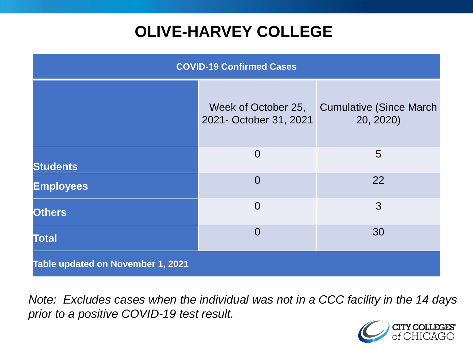# **OLIVE-HARVEY COLLEGE**

| <b>COVID-19 Confirmed Cases</b>   |                                               |                                              |
|-----------------------------------|-----------------------------------------------|----------------------------------------------|
|                                   | Week of October 25,<br>2021- October 31, 2021 | <b>Cumulative (Since March)</b><br>20, 2020) |
| <b>Students</b>                   | $\overline{0}$                                | $5\overline{)}$                              |
| <b>Employees</b>                  | $\Omega$                                      | 22                                           |
| <b>Others</b>                     | $\overline{0}$                                | 3                                            |
| <b>Total</b>                      | $\Omega$                                      | 30                                           |
| Table updated on November 1, 2021 |                                               |                                              |

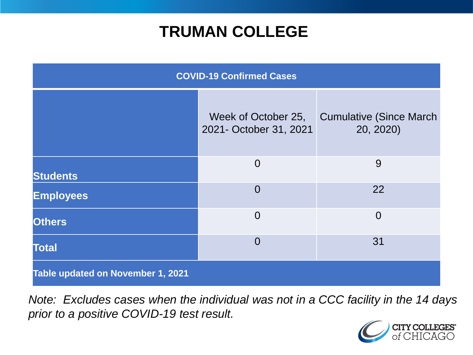### **TRUMAN COLLEGE**

| <b>COVID-19 Confirmed Cases</b>   |                                               |                                              |
|-----------------------------------|-----------------------------------------------|----------------------------------------------|
|                                   | Week of October 25,<br>2021- October 31, 2021 | <b>Cumulative (Since March)</b><br>20, 2020) |
| <b>Students</b>                   | $\overline{0}$                                | 9                                            |
| <b>Employees</b>                  | $\overline{0}$                                | 22                                           |
| <b>Others</b>                     | $\overline{0}$                                | $\overline{0}$                               |
| <b>Total</b>                      | $\overline{0}$                                | 31                                           |
| Table updated on November 1, 2021 |                                               |                                              |

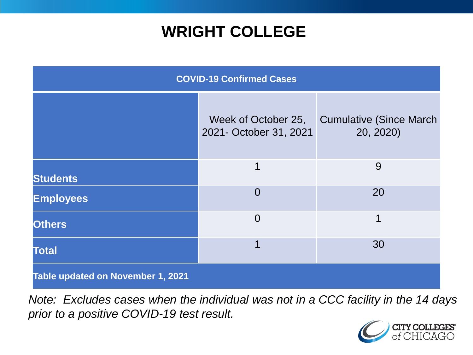### **WRIGHT COLLEGE**

| <b>COVID-19 Confirmed Cases</b>   |                                               |                                              |
|-----------------------------------|-----------------------------------------------|----------------------------------------------|
|                                   | Week of October 25,<br>2021- October 31, 2021 | <b>Cumulative (Since March)</b><br>20, 2020) |
| <b>Students</b>                   | 1                                             | 9                                            |
| <b>Employees</b>                  | $\overline{0}$                                | 20                                           |
| <b>Others</b>                     | $\overline{0}$                                | $\mathbf 1$                                  |
| <b>Total</b>                      | 1                                             | 30                                           |
| Table updated on November 1, 2021 |                                               |                                              |